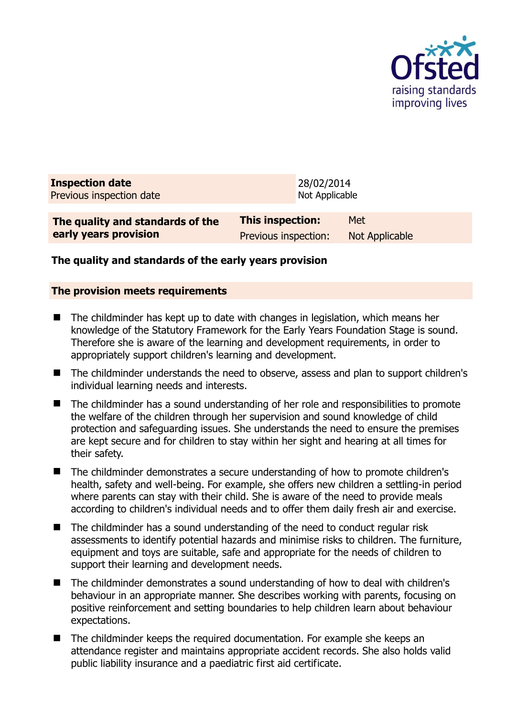

| <b>Inspection date</b><br>Previous inspection date |                         | 28/02/2014<br>Not Applicable |
|----------------------------------------------------|-------------------------|------------------------------|
| The quality and standards of the                   | <b>This inspection:</b> | Met                          |
| early years provision                              | Previous inspection:    | <b>Not Applicable</b>        |

## **The quality and standards of the early years provision**

#### **The provision meets requirements**

- The childminder has kept up to date with changes in legislation, which means her knowledge of the Statutory Framework for the Early Years Foundation Stage is sound. Therefore she is aware of the learning and development requirements, in order to appropriately support children's learning and development.
- The childminder understands the need to observe, assess and plan to support children's individual learning needs and interests.
- The childminder has a sound understanding of her role and responsibilities to promote the welfare of the children through her supervision and sound knowledge of child protection and safeguarding issues. She understands the need to ensure the premises are kept secure and for children to stay within her sight and hearing at all times for their safety.
- The childminder demonstrates a secure understanding of how to promote children's health, safety and well-being. For example, she offers new children a settling-in period where parents can stay with their child. She is aware of the need to provide meals according to children's individual needs and to offer them daily fresh air and exercise.
- The childminder has a sound understanding of the need to conduct regular risk assessments to identify potential hazards and minimise risks to children. The furniture, equipment and toys are suitable, safe and appropriate for the needs of children to support their learning and development needs.
- The childminder demonstrates a sound understanding of how to deal with children's behaviour in an appropriate manner. She describes working with parents, focusing on positive reinforcement and setting boundaries to help children learn about behaviour expectations.
- The childminder keeps the required documentation. For example she keeps an attendance register and maintains appropriate accident records. She also holds valid public liability insurance and a paediatric first aid certificate.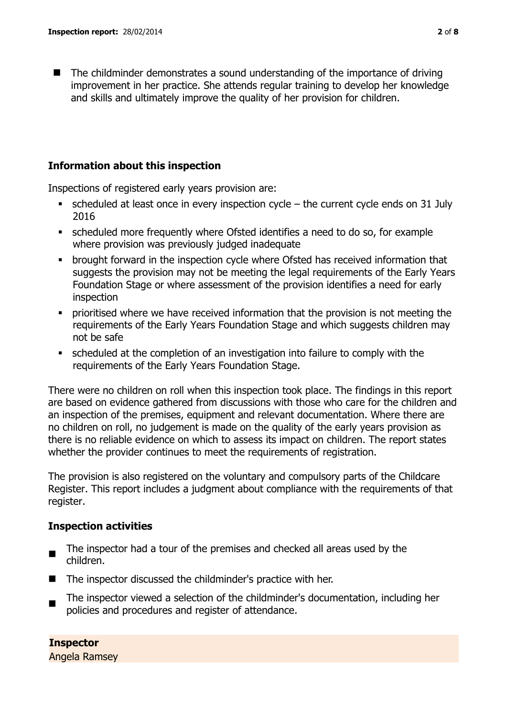■ The childminder demonstrates a sound understanding of the importance of driving improvement in her practice. She attends regular training to develop her knowledge and skills and ultimately improve the quality of her provision for children.

## **Information about this inspection**

Inspections of registered early years provision are:

- $\bullet$  scheduled at least once in every inspection cycle the current cycle ends on 31 July 2016
- scheduled more frequently where Ofsted identifies a need to do so, for example where provision was previously judged inadequate
- brought forward in the inspection cycle where Ofsted has received information that suggests the provision may not be meeting the legal requirements of the Early Years Foundation Stage or where assessment of the provision identifies a need for early inspection
- prioritised where we have received information that the provision is not meeting the requirements of the Early Years Foundation Stage and which suggests children may not be safe
- scheduled at the completion of an investigation into failure to comply with the requirements of the Early Years Foundation Stage.

There were no children on roll when this inspection took place. The findings in this report are based on evidence gathered from discussions with those who care for the children and an inspection of the premises, equipment and relevant documentation. Where there are no children on roll, no judgement is made on the quality of the early years provision as there is no reliable evidence on which to assess its impact on children. The report states whether the provider continues to meet the requirements of registration.

The provision is also registered on the voluntary and compulsory parts of the Childcare Register. This report includes a judgment about compliance with the requirements of that register.

## **Inspection activities**

- $\blacksquare$ The inspector had a tour of the premises and checked all areas used by the children.
- The inspector discussed the childminder's practice with her.
- $\blacksquare$ The inspector viewed a selection of the childminder's documentation, including her policies and procedures and register of attendance.

**Inspector**  Angela Ramsey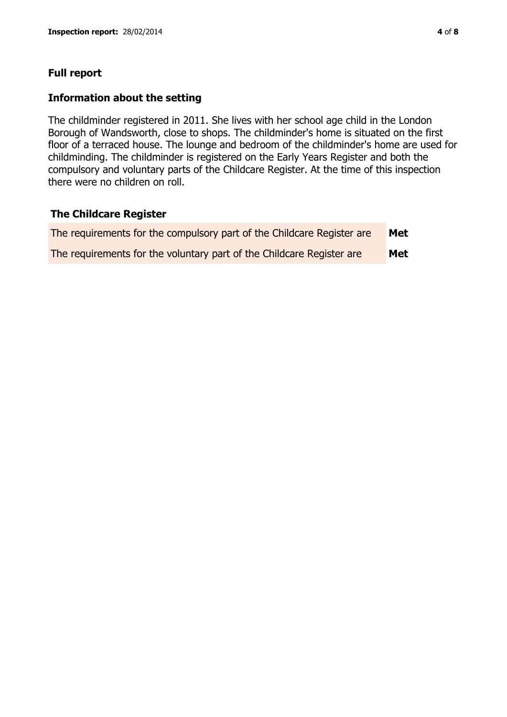## **Full report**

#### **Information about the setting**

The childminder registered in 2011. She lives with her school age child in the London Borough of Wandsworth, close to shops. The childminder's home is situated on the first floor of a terraced house. The lounge and bedroom of the childminder's home are used for childminding. The childminder is registered on the Early Years Register and both the compulsory and voluntary parts of the Childcare Register. At the time of this inspection there were no children on roll.

#### **The Childcare Register**

| The requirements for the compulsory part of the Childcare Register are | Met |
|------------------------------------------------------------------------|-----|
| The requirements for the voluntary part of the Childcare Register are  | Met |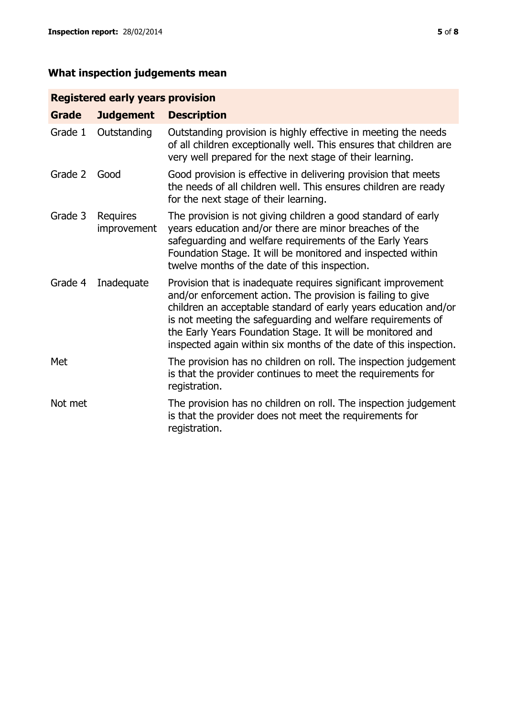# **What inspection judgements mean**

## **Registered early years provision**

| <b>Grade</b> | <b>Judgement</b>        | <b>Description</b>                                                                                                                                                                                                                                                                                                                                                                                |
|--------------|-------------------------|---------------------------------------------------------------------------------------------------------------------------------------------------------------------------------------------------------------------------------------------------------------------------------------------------------------------------------------------------------------------------------------------------|
| Grade 1      | Outstanding             | Outstanding provision is highly effective in meeting the needs<br>of all children exceptionally well. This ensures that children are<br>very well prepared for the next stage of their learning.                                                                                                                                                                                                  |
| Grade 2      | Good                    | Good provision is effective in delivering provision that meets<br>the needs of all children well. This ensures children are ready<br>for the next stage of their learning.                                                                                                                                                                                                                        |
| Grade 3      | Requires<br>improvement | The provision is not giving children a good standard of early<br>years education and/or there are minor breaches of the<br>safeguarding and welfare requirements of the Early Years<br>Foundation Stage. It will be monitored and inspected within<br>twelve months of the date of this inspection.                                                                                               |
| Grade 4      | Inadequate              | Provision that is inadequate requires significant improvement<br>and/or enforcement action. The provision is failing to give<br>children an acceptable standard of early years education and/or<br>is not meeting the safeguarding and welfare requirements of<br>the Early Years Foundation Stage. It will be monitored and<br>inspected again within six months of the date of this inspection. |
| Met          |                         | The provision has no children on roll. The inspection judgement<br>is that the provider continues to meet the requirements for<br>registration.                                                                                                                                                                                                                                                   |
| Not met      |                         | The provision has no children on roll. The inspection judgement<br>is that the provider does not meet the requirements for<br>registration.                                                                                                                                                                                                                                                       |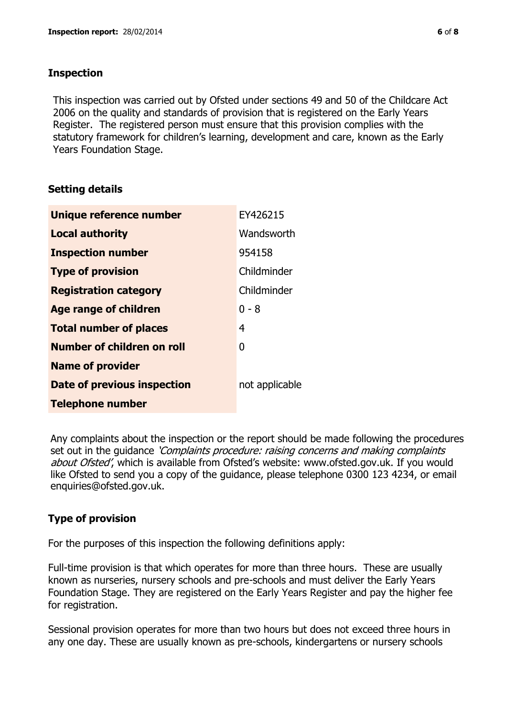## **Inspection**

This inspection was carried out by Ofsted under sections 49 and 50 of the Childcare Act 2006 on the quality and standards of provision that is registered on the Early Years Register. The registered person must ensure that this provision complies with the statutory framework for children's learning, development and care, known as the Early Years Foundation Stage.

## **Setting details**

| Unique reference number       | EY426215       |
|-------------------------------|----------------|
| <b>Local authority</b>        | Wandsworth     |
| <b>Inspection number</b>      | 954158         |
| <b>Type of provision</b>      | Childminder    |
| <b>Registration category</b>  | Childminder    |
| <b>Age range of children</b>  | $0 - 8$        |
| <b>Total number of places</b> | 4              |
| Number of children on roll    | 0              |
| <b>Name of provider</b>       |                |
| Date of previous inspection   | not applicable |
| <b>Telephone number</b>       |                |

Any complaints about the inspection or the report should be made following the procedures set out in the guidance *'Complaints procedure: raising concerns and making complaints* about Ofsted', which is available from Ofsted's website: www.ofsted.gov.uk. If you would like Ofsted to send you a copy of the guidance, please telephone 0300 123 4234, or email enquiries@ofsted.gov.uk.

## **Type of provision**

For the purposes of this inspection the following definitions apply:

Full-time provision is that which operates for more than three hours. These are usually known as nurseries, nursery schools and pre-schools and must deliver the Early Years Foundation Stage. They are registered on the Early Years Register and pay the higher fee for registration.

Sessional provision operates for more than two hours but does not exceed three hours in any one day. These are usually known as pre-schools, kindergartens or nursery schools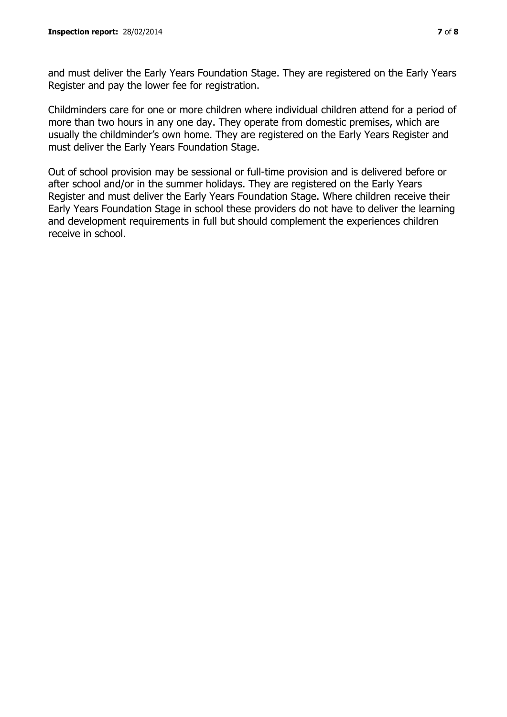and must deliver the Early Years Foundation Stage. They are registered on the Early Years Register and pay the lower fee for registration.

Childminders care for one or more children where individual children attend for a period of more than two hours in any one day. They operate from domestic premises, which are usually the childminder's own home. They are registered on the Early Years Register and must deliver the Early Years Foundation Stage.

Out of school provision may be sessional or full-time provision and is delivered before or after school and/or in the summer holidays. They are registered on the Early Years Register and must deliver the Early Years Foundation Stage. Where children receive their Early Years Foundation Stage in school these providers do not have to deliver the learning and development requirements in full but should complement the experiences children receive in school.